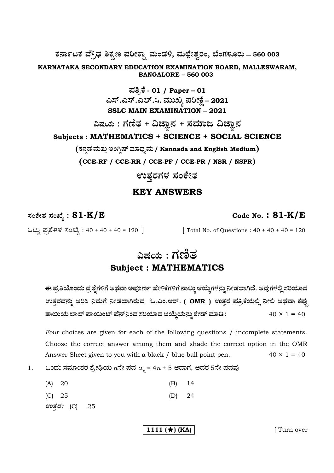ಕರ್ನಾಟಕ ಪ್ರೌಢ ಶಿಕ್ಷಣ ಪರೀಕ್ಷಾ ಮಂಡಳಿ, ಮಲ್ಲೇಶ್ವರಂ, ಬೆಂಗಳೂರು – 560 003

KARNATAKA SECONDARY EDUCATION EXAMINATION BOARD, MALLESWARAM, **BANGALORE - 560 003** 

> ಪತ್ರಿಕೆ - 01 / Paper – 01<br>ಎಸ್.ಎಸ್.ಎಲ್.ಸಿ. ಮುಖ್ಯ ಪರೀಕ್ಷೆ – 2021 **SSLC MAIN EXAMINATION - 2021**

ವಿಷಯ : ಗಣಿತ + ವಿಜ್ಞಾನ + ಸಮಾಜ ವಿಜ್ಞಾನ Subjects: MATHEMATICS + SCIENCE + SOCIAL SCIENCE

(ಕನ್ನಡ ಮತ್ತು ಇಂಗ್ಲಿಷ್ ಮಾಧ್ಯಮ / Kannada and English Medium)

(CCE-RF / CCE-RR / CCE-PF / CCE-PR / NSR / NSPR)

ಉತ್ತರಗಳ ಸಂಕೇತ

## **KEY ANSWERS**

ಸಂಕೇತ ಸಂಖ್ಯೆ :  $81$ - $\rm K/E$ 

[ Total No. of Questions :  $40 + 40 + 40 = 120$ 

Code No.:  $81-K/E$ 

ಒಟ್ಟು ಪ್ರಶಿಗಳ ಸಂಖ್ಯೆ : 40 + 40 + 40 = 120 ]

ವಿಷಯ : **ಗ**ಣಿತ **Subject: MATHEMATICS** 

ಈ ಪ್ರತಿಯೊಂದು ಪ್ರಶ್ನೆಗಳಿಗೆ ಅಥವಾ ಅಪೂರ್ಣ ಹೇಳಿಕೆಗಳಿಗೆ ನಾಲ್ಕು ಆಯ್ಕೆಗಳನ್ನು ನೀಡಲಾಗಿದೆ. ಅವುಗಳಲ್ಲಿ ಸರಿಯಾದ ಉತ್ತರವನ್ನು ಆರಿಸಿ ನಿಮಗೆ ನೀಡಲಾಗಿರುವ ಓ.ಎಂ.ಆರ್. ( OMR ) ಉತ್ತರ ಪತ್ರಿಕೆಯಲ್ಲಿ ನೀಲಿ ಅಥವಾ ಕಪ್ಪು ಶಾಯಿಯ ಬಾಲ್ ಪಾಯಿಂಟ್ ಪೆನ್ನಿಂದ ಸರಿಯಾದ ಆಯ್ಕೆಯನ್ನು ಶೇಡ್ ಮಾಡಿ :  $40 \times 1 = 40$ 

Four choices are given for each of the following questions / incomplete statements. Choose the correct answer among them and shade the correct option in the OMR  $40 \times 1 = 40$ Answer Sheet given to you with a black / blue ball point pen.

ಒಂದು ಸಮಾಂತರ ಶ್ರೇಢಿಯ  $n$ ನೇ ಪದ  $a_n$  = 4 $n$  + 5 ಆದಾಗ, ಅದರ 5ನೇ ಪದವು 1.

| (A) 20 |  |  | $(B)$ 14 |  |
|--------|--|--|----------|--|
|        |  |  |          |  |

 $(C) 25$  $(D)$ 24

ಉತ್ತರ: (C) 25

1111 ( $\star$ ) (KA)

[Turn over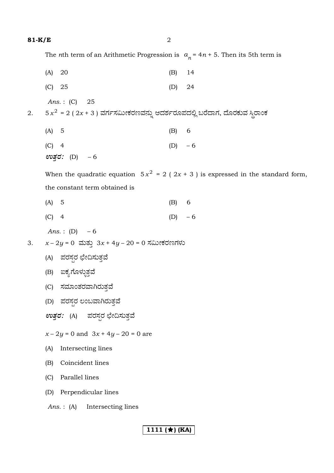The *n*th term of an Arithmetic Progression is  $a_n = 4n + 5$ . Then its 5th term is

|    | (A) 20                                                                       | (B)       | 14                                                                                |
|----|------------------------------------------------------------------------------|-----------|-----------------------------------------------------------------------------------|
|    | (C) 25                                                                       | (D)       | 24                                                                                |
|    | Ans.: $(C)$ 25                                                               |           |                                                                                   |
| 2. | 5 $x^2$ = 2 ( 2x + 3 ) ವರ್ಗಸಮೀಕರಣವನ್ನು ಆದರ್ಶರೂಪದಲ್ಲಿ ಬರೆದಾಗ, ದೊರಕುವ ಸ್ಥಿರಾಂಕ |           |                                                                                   |
|    | (A) 5                                                                        | $(B)$ 6   |                                                                                   |
|    | $(C)$ 4                                                                      | (D) $-6$  |                                                                                   |
|    | ಉತ್ತರ: $(D) - 6$                                                             |           |                                                                                   |
|    |                                                                              |           | When the quadratic equation $5x^2 = 2(2x + 3)$ is expressed in the standard form, |
|    | the constant term obtained is                                                |           |                                                                                   |
|    | (A) 5                                                                        | (B)       | 6                                                                                 |
|    | $(C)$ 4                                                                      | $(D) - 6$ |                                                                                   |
|    | <i>Ans.</i> : (D) $-6$                                                       |           |                                                                                   |
| 3. | $x - 2y = 0$ ಮತ್ತು $3x + 4y - 20 = 0$ ಸಮೀಕರಣಗಳು                              |           |                                                                                   |
|    | (A) ಪರಸ್ಪರ ಛೇದಿಸುತ್ತವೆ                                                       |           |                                                                                   |
|    | (B) ಐಕ್ಯಗೊಳ್ಳುತ್ತವೆ                                                          |           |                                                                                   |
|    | (C) ಸಮಾಂತರವಾಗಿರುತ್ತವೆ                                                        |           |                                                                                   |
|    | (D) ಪರಸ್ಪರ ಲಂಬವಾಗಿರುತ್ತವೆ                                                    |           |                                                                                   |
|    | <i>ಉತ್ತರ:</i> (A) ಪರಸ್ಪರ ಛೇದಿಸುತ್ತವೆ                                         |           |                                                                                   |
|    | $x-2y = 0$ and $3x + 4y - 20 = 0$ are                                        |           |                                                                                   |
|    | Intersecting lines<br>(A)                                                    |           |                                                                                   |
|    | Coincident lines<br>(B)                                                      |           |                                                                                   |
|    | Parallel lines<br>(C)                                                        |           |                                                                                   |
|    | Perpendicular lines<br>(D)                                                   |           |                                                                                   |
|    | Intersecting lines<br>Ans.: $(A)$                                            |           |                                                                                   |
|    |                                                                              |           |                                                                                   |
|    | 1111 $(\star)$ (KA)                                                          |           |                                                                                   |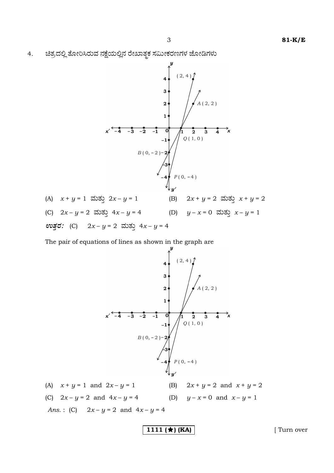3

ಚಿತ್ರದಲ್ಲಿ ತೋರಿಸಿರುವ ನಕ್ಷೆಯಲ್ಲಿನ ರೇಖಾತ್ಮಕ ಸಮೀಕರಣಗಳ ಜೋಡಿಗಳು  $4.$ 



The pair of equations of lines as shown in the graph are



1111 ( $\star$ ) (KA)

[Turn over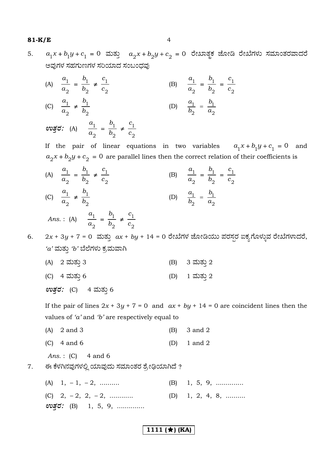#### $81-K/E$

 $a_1x + b_1y + c_1 = 0$  ಮತ್ತು  $a_2x + b_2y + c_2 = 0$  ರೇಖಾತ್ಮಕ ಜೋಡಿ ರೇಖೆಗಳು ಸಮಾಂತರವಾದರೆ 5. ಅವುಗಳ ಸಹಗುಣಗಳ ಸರಿಯಾದ ಸಂಬಂದವು

(A) 
$$
\frac{a_1}{a_2} = \frac{b_1}{b_2} \neq \frac{c_1}{c_2}
$$
  
\n(B)  $\frac{a_1}{a_2} = \frac{b_1}{b_2} = \frac{c_1}{c_2}$   
\n(C)  $\frac{a_1}{a_2} \neq \frac{b_1}{b_2}$   
\n(D)  $\frac{a_1}{b_2} = \frac{b_1}{a_2}$   
\n(D)  $\frac{a_1}{b_2} = \frac{b_1}{a_2}$ 

If the pair of linear equations in two variables  $a_1x + b_1y + c_1 = 0$  and  $a_2x + b_2y + c_2 = 0$  are parallel lines then the correct relation of their coefficients is

(A)  $\frac{a_1}{a_2} = \frac{b_1}{b_2} \neq \frac{c_1}{c_2}$ (B)  $\frac{a_1}{a_2} = \frac{b_1}{b_2} = \frac{c_1}{c_2}$ (C)  $\frac{a_1}{a_2} \neq \frac{b_1}{b_2}$ (D)  $\frac{a_1}{b_2} = \frac{b_1}{a_2}$ 

Ans.: (A) 
$$
\frac{a_1}{a_2} = \frac{b_1}{b_2} \neq \frac{c_1}{c_2}
$$

 $2x + 3y + 7 = 0$  ಮತ್ತು  $ax + by + 14 = 0$  ರೇಖೆಗಳ ಜೋಡಿಯು ಪರಸ್ಪರ ಐಕ್ಯಗೊಳ್ಳುವ ರೇಖೆಗಳಾದರೆ, 6.  $'a'$ ಮತ್ತು  $'b'$ ಬೆಲೆಗಳು ಕ್ರಮವಾಗಿ

(A) 2 ಮತ್ತು 3 (B) 3 ಮತ್ತು 2 (C) 4 ಮತ್ತು 6 (D) 1 ಮತ್ತು 2

ಉತ್ತರ: (C) 4 ಮತ್ತು 6

If the pair of lines  $2x + 3y + 7 = 0$  and  $ax + by + 14 = 0$  are coincident lines then the values of ' $a$ ' and ' $b$ ' are respectively equal to

- $(A)$  2 and 3 3 and 2  $(B)$
- $(C)$  4 and 6 1 and  $2$  $(D)$

Ans.:  $(C)$  4 and 6

- ಈ ಕೆಳಗಿನವುಗಳಲ್ಲಿ ಯಾವುದು ಸಮಾಂತರ ಶ್ರೇಢಿಯಾಗಿದೆ ? 7.
	- (A)  $1, -1, -2, \dots$  $(B)$  1, 5, 9, .............. (C)  $2, -2, 2, -2, \ldots$ (D) 1, 2, 4, 8, ......... evac: (B) 1, 5, 9, .............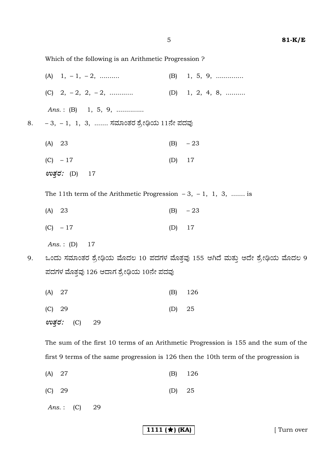$\overline{5}$ 

Which of the following is an Arithmetic Progression?

- (A)  $1, -1, -2, \dots$  $(B)$  1, 5, 9, .............. (C)  $2, -2, 2, -2, \ldots$  $(D)$  1, 2, 4, 8, ........ Ans.: (B) 1, 5, 9, .............. - 3, - 1, 1, 3, ....... ಸಮಾಂತರ ಶ್ರೇಢಿಯ 11ನೇ ಪದವು  $(A)$  23  $(B)$  $-23$  $(C) - 17$  $(D)$ 17 ಉತ್*ರ:* (D) 17 The 11th term of the Arithmetic Progression  $-3$ ,  $-1$ , 1, 3, ....... is  $(A)$  23  $(B)$  $-23$  $17$  $(C) - 17$  $(D)$ Ans.:  $(D)$ 17 ಒಂದು ಸಮಾಂತರ ಶ್ರೇಢಿಯ ಮೊದಲ 10 ಪದಗಳ ಮೊತ್ತವು 155 ಆಗಿದೆ ಮತ್ತು ಅದೇ ಶ್ರೇಢಿಯ ಮೊದಲ 9 ಪದಗಳ ಮೊತ್ತವು 126 ಆದಾಗ ಶ್ರೇಢಿಯ 10ನೇ ಪದವು  $(A) 27$ 126  $(B)$  $(C)$  29  $(D)$ 25 ಉತ್ತರ:  $(C)$ 29 The sum of the first 10 terms of an Arithmetic Progression is 155 and the sum of the first 9 terms of the same progression is 126 then the 10th term of the progression is
	- $(A)$  27  $(B)$ 126
	- $(C)$ 29  $(D)$ 25

 $Ans.:$  $(C)$ 29

8.

9.

1111  $(\star)$  (KA)

[Turn over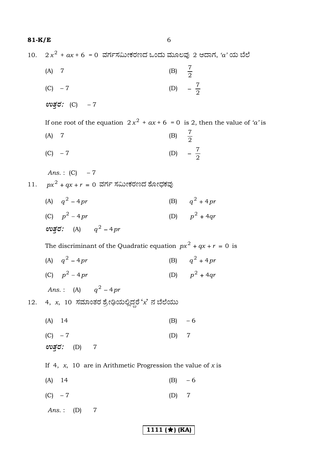(B)  $\frac{7}{2}$  $(A)$  7 (D)  $-\frac{7}{2}$  $(C) - 7$ 

10.  $2x^2 + ax + 6 = 0$  ವರ್ಗಸಮೀಕರಣದ ಒಂದು ಮೂಲವು 2 ಆದಾಗ, 'a' ಯ ಬೆಲೆ

$$
\mathbf{e} \mathbf{v} \mathbf{v} \mathbf{v} \mathbf{c} \mathbf{c} \mathbf{c} \mathbf{c} \mathbf{c} \mathbf{c} \mathbf{c} \mathbf{c} \mathbf{c} \mathbf{c} \mathbf{c} \mathbf{c} \mathbf{c} \mathbf{c} \mathbf{c} \mathbf{c} \mathbf{c} \mathbf{c} \mathbf{c} \mathbf{c} \mathbf{c} \mathbf{c} \mathbf{c} \mathbf{c} \mathbf{c} \mathbf{c} \mathbf{c} \mathbf{c} \mathbf{c} \mathbf{c} \mathbf{c} \mathbf{c} \mathbf{c} \mathbf{c} \mathbf{c} \mathbf{c} \mathbf{c} \mathbf{c} \mathbf{c} \mathbf{c} \mathbf{c} \mathbf{c} \mathbf{c} \mathbf{c} \mathbf{c} \mathbf{c} \mathbf{c} \mathbf{c} \mathbf{c} \mathbf{c} \mathbf{c} \mathbf{c} \mathbf{c} \mathbf{c} \mathbf{c} \mathbf{c} \mathbf{c} \mathbf{c} \mathbf{c} \mathbf{c} \mathbf{c} \mathbf{c} \mathbf{c} \mathbf{c} \mathbf{c} \mathbf{c} \mathbf{c} \mathbf{c} \mathbf{c} \mathbf{c} \mathbf{c} \mathbf{c} \mathbf{c} \mathbf{c} \mathbf{c} \mathbf{c} \mathbf{c} \mathbf{c} \mathbf{c} \mathbf{c} \mathbf{c} \mathbf{c} \mathbf{c} \mathbf{c} \mathbf{c} \mathbf{c} \mathbf{c} \mathbf{c} \mathbf{c} \mathbf{c} \mathbf{c} \mathbf{c} \mathbf{c} \mathbf{c} \mathbf{c} \mathbf{c} \mathbf{c} \mathbf{c} \mathbf{c} \mathbf{c} \mathbf{c} \mathbf{c} \mathbf{c} \mathbf{c} \mathbf{c} \mathbf{c} \mathbf{c} \mathbf{c} \mathbf{c} \mathbf{c} \mathbf{c} \mathbf{c} \mathbf{c} \mathbf{c} \mathbf{c} \mathbf{c} \mathbf{c} \mathbf{c} \mathbf{c} \mathbf{c} \mathbf{c} \mathbf{c} \mathbf{
$$

If one root of the equation  $2x^2 + ax + 6 = 0$  is 2, then the value of 'a' is

(B)  $\frac{7}{2}$  $(A)$  7 (D)  $-\frac{7}{2}$  $(C) -7$ 

Ans.: (C)  $-7$ 11.  $px^2 + qx + r = 0$  ವರ್ಗ ಸಮೀಕರಣದ ಶೋಧಕವು

- (A)  $q^2 4pr$ (B)  $q^2 + 4pr$
- (C)  $p^2 4pr$ (D)  $p^2 + 4qr$  $\overline{a}$

$$
ev\vec{g}\vec{\sigma}:\quad\text{(A)}\qquad q^2-4pr
$$

The discriminant of the Quadratic equation  $px^2 + qx + r = 0$  is

(A)  $q^2 - 4pr$ (B)  $q^2 + 4pr$ (D)  $p^2 + 4qr$ (C)  $p^2 - 4pr$ 

*Ans.*: (A)  $q^2 - 4pr$ 

12. 4,  $x$ , 10 ಸಮಾಂತರ ಶ್ರೇಢಿಯಲ್ಲಿದ್ದರೆ ' $x$ ' ನ ಬೆಲೆಯು

 $(A)$  14  $(B) - 6$  $(C) -7$  $(D)$  7

- If 4, x, 10 are in Arithmetic Progression the value of x is
- $(A)$  14  $(B) -6$
- $(C) -7$  $(D)$  $\overline{7}$

Ans.:  $(D)$  7

ಉತ್*ರ:* (D) 7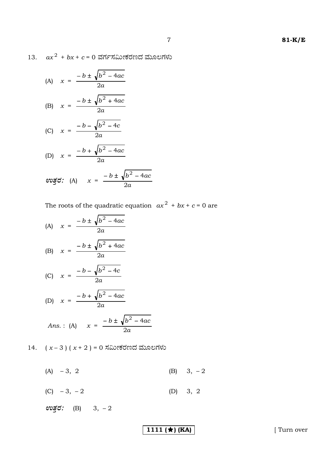13.  $ax^2 + bx + c = 0$  ವರ್ಗಸಮೀಕರಣದ ಮೂಲಗಳು

(A) 
$$
x = \frac{-b \pm \sqrt{b^2 - 4ac}}{2a}
$$
  
\n(B)  $x = \frac{-b \pm \sqrt{b^2 + 4ac}}{2a}$   
\n(C)  $x = \frac{-b - \sqrt{b^2 - 4c}}{2a}$   
\n(D)  $x = \frac{-b + \sqrt{b^2 - 4ac}}{2a}$   
\n $\cos \xi$  (A)  $x = \frac{-b \pm \sqrt{b^2 - 4ac}}{2a}$ 

The roots of the quadratic equation  $ax^2 + bx + c = 0$  are

(A) 
$$
x = \frac{-b \pm \sqrt{b^2 - 4ac}}{2a}
$$
  
\n(B)  $x = \frac{-b \pm \sqrt{b^2 + 4ac}}{2a}$   
\n(C)  $x = \frac{-b - \sqrt{b^2 - 4c}}{2a}$   
\n(D)  $x = \frac{-b + \sqrt{b^2 - 4ac}}{2a}$   
\nAns. : (A)  $x = \frac{-b \pm \sqrt{b^2 - 4ac}}{2a}$ 

14.  $(x-3)(x+2) = 0$  ಸಮೀಕರಣದ ಮೂಲಗಳು

 $(A) -3, 2$ (B)  $3, -2$ 

(C)  $-3, -2$ (D) 3, 2

 $\omega \vec{g}$ d: (B) 3, -2

1111 ( $\star$ ) (KA)

[ Turn over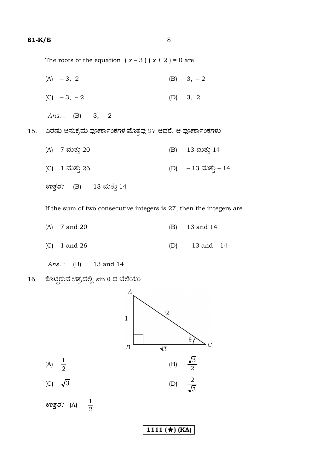15.

The roots of the equation  $(x-3)(x+2) = 0$  are

 $(A) -3, 2$ (B)  $3, -2$ (D) 3, 2 (C)  $-3, -2$ Ans.: (B) 3, -2 ಎರಡು ಅನುಕ್ರಮ ಪೂರ್ಣಾಂಕಗಳ ಮೊತ್ತವು 27 ಆದರೆ, ಆ ಪೂರ್ಣಾಂಕಗಳು (A) 7 ಮತ್ತು 20 13 ಮತ್ತು 14  $(B)$ (D) – 13 ಮತ್ತು – 14 (C) 1 ಮತ್ತು 26 13 ಮತ್ತು 14 ಉತ್ತರ:  $(B)$ 

If the sum of two consecutive integers is  $27$ , then the integers are

- $(A)$ 7 and 20  $(B)$ 13 and 14
- 1 and 26  $(D)$  $-13$  and  $-14$  $(C)$

13 and 14  $Ans.:$  $(B)$ 

ಕೊಟ್ಟಿರುವ ಚಿತ್ರದಲ್ಲಿ sin θ ದ ಬೆಲೆಯು 16.

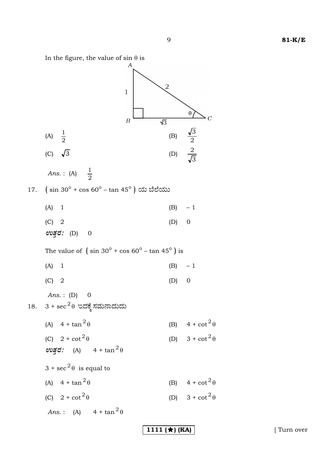9

 $\overline{1111}$  ( $\star$ ) (KA)

In the figure, the value of  $sin \theta$  is



[ Turn over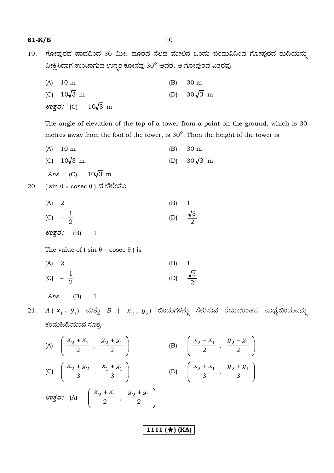**81-K/E** 10

19. ಗೋಪುರದ ಪಾದದಿಂದ 30 ಮೀ. ದೂರದ ನೆಲದ ಮೇಲಿನ ಒಂದು ಬಿಂದುವಿನಿಂದ ಗೋಪುರದ ತುದಿಯನ್ನು ವೀಕ್ಷಿಸಿದಾಗ ಉಂಟಾಗುವ ಉನ್ನತ ಕೋನವು 30° ಆದರೆ, ಆ ಗೋಪುರದ ಎತ್ತರವು

| $(A)$ 10 m         |  | $(B)$ 30 m         |
|--------------------|--|--------------------|
| (C) $10\sqrt{3}$ m |  | (D) $30\sqrt{3}$ m |
| ಉತ್ತರ: (C) 10√3 m  |  |                    |

 The angle of elevation of the top of a tower from a point on the ground, which is 30 metres away from the foot of the tower, is 30°. Then the height of the tower is

- (A) 10 m (B) 30 m
- (C)  $10\sqrt{3}$  m (D)  $30\sqrt{3}$  m

*Ans.*: (C)  $10\sqrt{3}$  m

- $20.$  (sin  $θ \times \csc θ$ ) ದ ಬೆಲೆಯು
- (A) 2 (B) 1 (C)  $-\frac{1}{2}$ (D)  $\frac{1}{2}$ 3 *EñܤÃÜ :* (B) 1

The value of ( $\sin \theta \times \csc \theta$ ) is

(A) 2 (B) 1 (C)  $-\frac{1}{2}$ (D)  $\frac{V}{2}$ 3

*Ans.* : (B) 1

- 21. *A*( $x^{}_1\,,\ y^{}_1)$  ಮತ್ತು *B* (  $x^{}_2\,,\ y^{}_2)$  ಬಿಂದುಗಳನ್ನು ಸೇರಿಸುವ ರೇಖಾಖಂಡದ ಮಧ್ಯಬಿಂದುವನ್ನು ಕಂಡುಹಿಡಿಯುವ ಸೂತ್ರ
- (A)  $\frac{x_2 + x_1}{2}$ ,  $\frac{y_2 + y_1}{2}$ J Í I  $\mathsf{I}$ ∖  $\begin{cases} x_0 + x_1 & y_0 + \end{cases}$  $\frac{1}{2}$ ,  $\frac{z}{2}$  $x_2 + x_1$   $y_2 + y_1$ (B)  $\frac{\lambda_2 - \lambda_1}{2}$ ,  $\frac{y_2 - y_1}{2}$ J Í I I l  $\int x_0 - x_1 dy_0 \frac{1}{2}$ ,  $\frac{2}{2}$  $x_2 - x_1$   $y_2 - y_1$ (C)  $\frac{x_2 + y_2}{3}, \frac{x_1 + y_1}{3}$ J Í I  $\mathsf{I}$ ∖  $\left(x_{0}+y_{0}\right)\left(x_{1}+x_{2}\right)$  $rac{1}{3}$ ,  $rac{1}{3}$  $x_2 + y_2$   $x_1 + y_1$ (D)  $\frac{\lambda_2 + \lambda_1}{3}, \frac{y_2 + y_1}{3}$ J Í I I l  $\left(x_{0}+x_{1} \quad u_{0}+x_{2}\right)$  $\frac{1}{3}$ ,  $\frac{2}{3}$  $x_2 + x_1$   $y_2 + y_1$  $\mathcal{E}(\mathsf{A}) = \left( \begin{array}{c} x_2 + x_1 \\ \hline 2 \end{array} \right), \frac{y_2 + y_1}{2}$ J ) I I ∖  $\int x_0 + x_1 dy_0 +$  $\frac{1}{2}$ ,  $\frac{2}{2}$  $x_2 + x_1$   $y_2 + y_1$

**1111 (★) (KA)**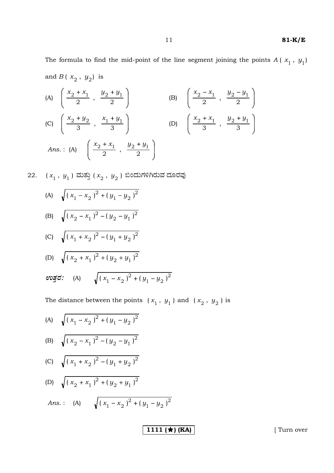The formula to find the mid-point of the line segment joining the points  $A(x_1, y_1)$ and  $B\left(\right.x_2^{\phantom{\dag}},\right.y_2^{\phantom{\dag}}\right)$  is

(A) 
$$
\left(\frac{x_2 + x_1}{2}, \frac{y_2 + y_1}{2}\right)
$$
 (B)  $\left(\frac{x_2 - x_1}{2}, \frac{y_2 - y_1}{2}\right)$   
\n(C)  $\left(\frac{x_2 + y_2}{3}, \frac{x_1 + y_1}{3}\right)$  (D)  $\left(\frac{x_2 + x_1}{3}, \frac{y_2 + y_1}{3}\right)$   
\nAns. : (A)  $\left(\frac{x_2 + x_1}{2}, \frac{y_2 + y_1}{2}\right)$ 

22. 
$$
(x_1, y_1)
$$
 ಮತ್ತು  $(x_2, y_2)$  ಬಿಂದುಗಳಿಗಿರುವ ದೂರವು

(A) 
$$
\sqrt{(x_1 - x_2)^2 + (y_1 - y_2)^2}
$$

(B) 
$$
\sqrt{(x_2 - x_1)^2 - (y_2 - y_1)^2}
$$

(C) 
$$
\sqrt{(x_1 + x_2)^2 - (y_1 + y_2)^2}
$$

(D) 
$$
\sqrt{(x_2 + x_1)^2 + (y_2 + y_1)^2}
$$
  
  $\cos \xi$ : (A)  $\sqrt{(x_1 - x_2)^2 + (y_1 - y_2)^2}$ 

The distance between the points  $(x_1, y_1)$  and  $(x_2, y_2)$  is

(A) 
$$
\sqrt{(x_1 - x_2)^2 + (y_1 - y_2)^2}
$$

(B) 
$$
\sqrt{(x_2 - x_1)^2 - (y_2 - y_1)^2}
$$

(C) 
$$
\sqrt{(x_1 + x_2)^2 - (y_1 + y_2)^2}
$$

(D) 
$$
\sqrt{(x_2 + x_1)^2 + (y_2 + y_1)^2}
$$

Ans. : (A) 
$$
\sqrt{(x_1 - x_2)^2 + (y_1 - y_2)^2}
$$

1111 ( $\star$ ) (KA)

[ Turn over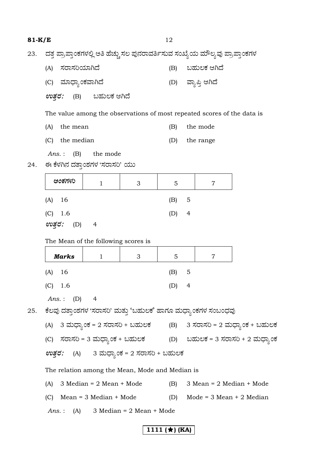| 81-K/E                                                                                |                                                                                |                                                                         |                                | 12  |                              |                    |                              |  |
|---------------------------------------------------------------------------------------|--------------------------------------------------------------------------------|-------------------------------------------------------------------------|--------------------------------|-----|------------------------------|--------------------|------------------------------|--|
| ದತ್ತ ಪ್ರಾಪ್ತಾಂಕಗಳಲ್ಲಿ ಅತಿ ಹೆಚ್ಚು ಸಲ ಪುನರಾವರ್ತಿಸುವ ಸಂಖ್ಯೆಯ ಮೌಲ್ಯವು ಪ್ರಾಪ್ತಾಂಕಗಳ<br>23. |                                                                                |                                                                         |                                |     |                              |                    |                              |  |
|                                                                                       | ಸರಾಸರಿಯಾಗಿದೆ<br>(A)                                                            |                                                                         |                                | (B) |                              | ಬಹುಲಕ ಆಗಿದೆ        |                              |  |
|                                                                                       | (C) ಮಾಧ್ಯಾಂಕವಾಗಿದೆ                                                             |                                                                         |                                |     |                              | (D) ವ್ಯಾಪ್ತಿ ಆಗಿದೆ |                              |  |
|                                                                                       | <i>ಉತ್ತರ:</i> (B) ಬಹುಲಕ ಆಗಿದೆ                                                  |                                                                         |                                |     |                              |                    |                              |  |
|                                                                                       |                                                                                | The value among the observations of most repeated scores of the data is |                                |     |                              |                    |                              |  |
|                                                                                       | the mean<br>(A)                                                                |                                                                         |                                | (B) |                              | the mode           |                              |  |
|                                                                                       | (C)<br>the median                                                              |                                                                         |                                | (D) |                              | the range          |                              |  |
| 24.                                                                                   | (B)<br>Ans. :<br>ಈ ಕೆಳಗಿನ ದತ್ತಾಂಶಗಳ 'ಸರಾಸರಿ' ಯು                                | the mode                                                                |                                |     |                              |                    |                              |  |
|                                                                                       | ಅಂಕಗಳು                                                                         | 1                                                                       | 3                              | 5   |                              | 7                  |                              |  |
|                                                                                       | 16<br>(A)                                                                      |                                                                         |                                | (B) | 5                            |                    |                              |  |
|                                                                                       | (C)<br>1.6                                                                     |                                                                         |                                | (D) | $\overline{4}$               |                    |                              |  |
|                                                                                       | ಉತ್ತರ: (D)                                                                     | 4                                                                       |                                |     |                              |                    |                              |  |
|                                                                                       |                                                                                | The Mean of the following scores is                                     |                                |     |                              |                    |                              |  |
|                                                                                       | Marks                                                                          | $\mathbf{1}$                                                            | 3                              | 5   |                              | 7                  |                              |  |
|                                                                                       | (A)<br>16                                                                      |                                                                         |                                | (B) | 5                            |                    |                              |  |
|                                                                                       | (C)<br>1.6                                                                     |                                                                         |                                | (D) | $\overline{4}$               |                    |                              |  |
|                                                                                       | Ans. $:$<br>(D)                                                                | 4                                                                       |                                |     |                              |                    |                              |  |
| 25.                                                                                   | ಕೆಲವು ದತ್ತಾಂಶಗಳ 'ಸರಾಸರಿ' ಮತ್ತು 'ಬಹುಲಕ' ಹಾಗೂ ಮಧ್ಯಾಂಕಗಳ ಸಂಬಂಧವು                  |                                                                         |                                |     |                              |                    |                              |  |
|                                                                                       | (A) 3 ಮಧ್ಯಾಂಕ = 2 ಸರಾಸರಿ + ಬಹುಲಕ         (B)     3 ಸರಾಸರಿ = 2 ಮಧ್ಯಾಂಕ + ಬಹುಲಕ  |                                                                         |                                |     |                              |                    |                              |  |
|                                                                                       | (C) ಸರಾಸರಿ = 3 ಮಧ್ಯಾಂಕ + ಬಹುಲಕ             (D)    ಬಹುಲಕ = 3 ಸರಾಸರಿ + 2 ಮಧ್ಯಾಂಕ |                                                                         |                                |     |                              |                    |                              |  |
|                                                                                       | (A) 3 ಮಧ್ಯಾಂಕ = 2 ಸರಾಸರಿ + ಬಹುಲಕ<br>ಉತ್ತರ:                                     |                                                                         |                                |     |                              |                    |                              |  |
|                                                                                       | The relation among the Mean, Mode and Median is                                |                                                                         |                                |     |                              |                    |                              |  |
|                                                                                       | $3$ Median = $2$ Mean + Mode<br>(A)                                            |                                                                         |                                | (B) | $3$ Mean = $2$ Median + Mode |                    |                              |  |
|                                                                                       | $Mean = 3 Median + Mode$<br>(C)                                                |                                                                         |                                | (D) |                              |                    | Mode = $3$ Mean + $2$ Median |  |
|                                                                                       | Ans. $:$                                                                       |                                                                         | $(A)$ 3 Median = 2 Mean + Mode |     |                              |                    |                              |  |
|                                                                                       |                                                                                |                                                                         |                                |     |                              |                    |                              |  |

# **1111 (★) (KA)**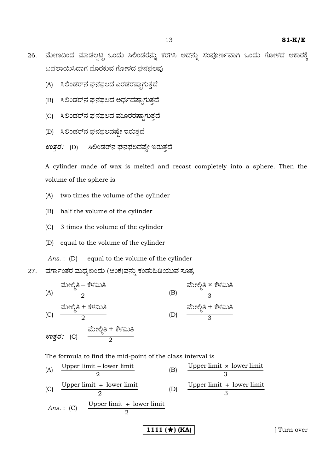- 
- 26. ಮೇಣದಿಂದ ಮಾಡಲ್ಪಟ್ಟ ಒಂದು ಸಿಲಿಂಡರನ್ನು ಕರಗಿಸಿ ಅದನ್ನು ಸಂಪೂರ್ಣವಾಗಿ ಒಂದು ಗೋಳದ ಆಕಾರಕ್ಕೆ ಬದಲಾಯಿಸಿದಾಗ ದೊರಕುವ ಗೋಳದ ಘನಫಲವು
	- (A) ಸಿಲಿಂಡರ್ನ ಘನಫಲದ ಎರಡರಷ್ಟಾಗುತ್ತದೆ
	- (B) ಸಿಲಿಂಡರ್ನ ಘನಫಲದ ಅರ್ಧದಷ್ಟಾಗುತ್ತದೆ
	- (C) ಸಿಲಿಂಡರ್ನ ಘನಫಲದ ಮೂರರಷ್ಟಾಗುತ್ತದೆ
	- (D) ಸಿಲಿಂಡರ್ನ ಘನಫಲದಷ್ಟೇ ಇರುತ್ತದೆ
	- $\pmb{\textit{avg}}$ ರ: (D) ಸಿಲಿಂಡರ್ನ ಘನಫಲದಷ್ಟೇ ಇರುತ್ತದೆ

 A cylinder made of wax is melted and recast completely into a sphere. Then the volume of the sphere is

- (A) two times the volume of the cylinder
- (B) half the volume of the cylinder
- (C) 3 times the volume of the cylinder
- (D) equal to the volume of the cylinder

*Ans.* : (D) equal to the volume of the cylinder

27. ವರ್ಗಾಂತರ ಮಧ್ಯಬಿಂದು (ಅಂಕ)ವನ್ನು ಕಂಡುಹಿಡಿಯುವ ಸೂತ್ರ

| (A) | \n $\frac{3x^2 - 6y^2 - 6y^2 - 8y^2 - 8y^2 - 8y^2 - 8y^2 - 8y^2 - 8y^2 - 8y^2 - 8y^2 - 8y^2 - 8y^2 - 8y^2 - 8y^2 - 8y^2 - 8y^2 - 8y^2 - 8y^2 - 8y^2 - 8y^2 - 8y^2 - 8y^2 - 8y^2 - 8y^2 - 8y^2 - 8y^2 - 8y^2 - 8y^2 - 8y^2 - 8y^2 - 8y^2 - 8y^2 - 8y^2 - 8y^2 - 8y^2 - 8y^2 - 8y^2 - 8y^2 - 8y^2 - 8y^2 - 8y^2 - 8y^2 - 8y^2 - 8y^2 - 8y^2 - 8y^2 - 8y^2 - 8y^2 - 8y^2 - 8y^2 - 8y^2 - 8y^2 - 8y^2 - 8y^2 - 8y^2 - 8y^2 - 8y^2 - 8y^2 - 8y^2 - 8y^2 - 8y^2 - 8y^2 - 8y^2 - 8y^2 - 8y^2 - 8y^2 - 8y^2 - 8y^2 - 8y^2 - 8y^2 - 8y^2 - 8y^2 - 8y^2 - 8y^2 - 8y^2 - 8y^2 - 8y^2 - 8y^2 - 8y^2 - 8y^2 - 8y^2 - 8y^2 - 8y^2 - 8y^2 - 8y^2 - 8y^2 - 8y^2 - 8y^2 - 8y^2 - 8y^2 - 8y^2 - 8y^2 - 8y^2 - 8y^2 - 8y^2 - 8y^2 - 8y^2 - 8y^2 - 8y^2 - 8y^2 - 8y^2 - 8y^2 - 8y^2 - 8y^2 - 8y^2 - 8y^2 - 8y^2 - 8y^2 - 8y^2 - 8y^2 - 8y^2 - 8y^2 - 8y^2 - 8y^2 - 8y^2 - 8y^2 - 8y^2 - 8y^2 - 8y^2 - 8y^2 - 8y^2 - 8y^2 - 8y^$ |
|-----|-------------------------------------------------------------------------------------------------------------------------------------------------------------------------------------------------------------------------------------------------------------------------------------------------------------------------------------------------------------------------------------------------------------------------------------------------------------------------------------------------------------------------------------------------------------------------------------------------------------------------------------------------------------------------------------------------------------------------------------------------------------------------------------------------------------------------------------------------------------------------------------------------------------|
|-----|-------------------------------------------------------------------------------------------------------------------------------------------------------------------------------------------------------------------------------------------------------------------------------------------------------------------------------------------------------------------------------------------------------------------------------------------------------------------------------------------------------------------------------------------------------------------------------------------------------------------------------------------------------------------------------------------------------------------------------------------------------------------------------------------------------------------------------------------------------------------------------------------------------------|

The formula to find the mid-point of the class interval is

(A) Upper limit – lower limit  
\n(C) Upper limit + lower limit  
\n(A) 2  
\n(D) Upper limit + lower limit  
\nAns. : (C) Upper limit + lower limit  
\n
$$
Ans. : (C) 2
$$
\nD

**1111 (★) (KA)** | Turn over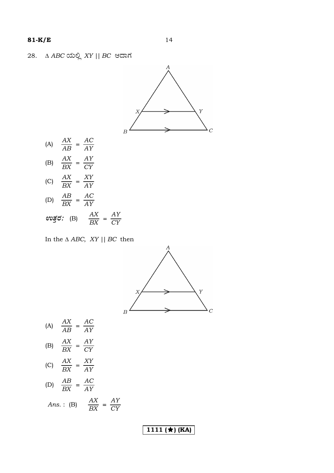

$$
EX \t AY
$$
  
 
$$
ew\vec{g}\vec{\sigma}:\t(B) \t \frac{AX}{BX} = \frac{AY}{CY}
$$

In the  $\triangle$  ABC, XY || BC then



| (A) | AX<br>AB                          | AC<br>AY             |
|-----|-----------------------------------|----------------------|
| (B) | АX<br>$\overline{BX}$             | ΑY<br>CY             |
| (C) | АX<br>$\overline{BX}$             | XY<br>AY             |
| (D) | $\frac{AB}{A}$<br>$\overline{BX}$ | AC<br>AY             |
|     | Ans.: $(B)$                       | AX<br>AY<br>BX<br>CY |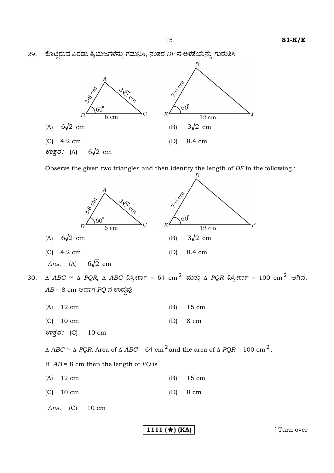29. ಕೊಟ್ಟಿರುವ ಎರಡು ತ್ರಿಭುಜಗಳನ್ನು ಗಮನಿಸಿ, ನಂತರ DF ನ ಅಳತೆಯನ್ನು ಗುರುತಿಸಿ



Observe the given two triangles and then identify the length of *DF* in the following :



**1111 (★) (KA)** | Turn over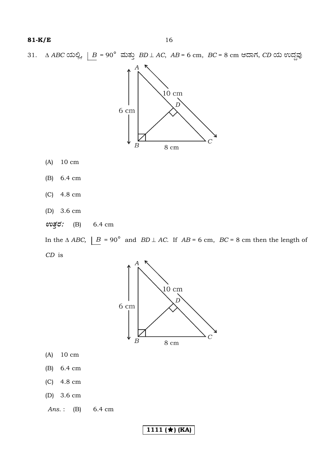31.  $\triangle ABC$   $\triangle$   $\triangle B$  = 90 $^{\circ}$   $\triangle$   $\triangle B$   $\triangle$   $AD \perp AC$ ,  $AB$  = 6 cm,  $BC$  = 8 cm ಆದಾಗ,  $CD$   $\triangle$   $\triangle$   $\triangle$   $\triangle$ 



- $10 \text{ cm}$  $(A)$
- 6.4 cm  $(B)$
- $(C)$  4.8 cm
- (D)  $3.6 \text{ cm}$
- ಉತ್ತರ:  $(B)$ 6.4 cm

In the  $\triangle ABC$ ,  $\underline{B} = 90^{\circ}$  and  $BD \perp AC$ . If  $AB = 6$  cm,  $BC = 8$  cm then the length of  $CD$  is



- $10 \text{ cm}$  $(A)$
- $(B)$ 6.4 cm
- 4.8 cm  $(C)$
- (D)  $3.6 \text{ cm}$

Ans.:  $(B)$ 6.4 cm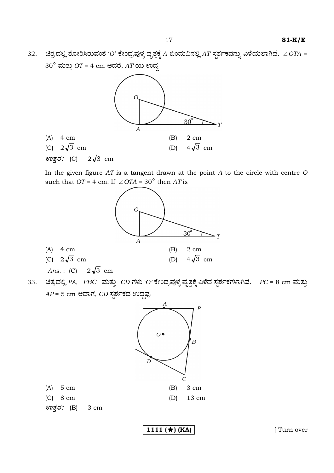$32.$   $\frac{32.5}{\sqrt{2}}$ ತೋರಿಸಿರುವಂತೆ *'O'* ಕೇಂದ್ರವುಳ್ಳ ವೃತ್ತಕ್ಕೆ A ಬಿಂದುವಿನಲ್ಲಿ AT ಸ್ಪರ್ಶಕವನ್ನು ಎಳೆಯಲಾಗಿದೆ. ∠*OTA* = 30° ಮತ್ತು *OT* = 4 cm ಆದರೆ, *AT* ಯ ಉದ್ದ



 In the given figure *AT* is a tangent drawn at the point *A* to the circle with centre *O* such that  $OT = 4$  cm. If  $\angle OTA = 30^\circ$  then *AT* is



33. ಚಿತ್ರದಲ್ಲಿ PA,  $\overline{PBC}\,$  ಮತ್ತು CD ಗಳು 'O' ಕೇಂದ್ರವುಳ್ಳ ವೃತ್ತಕ್ಕೆ ಎಳೆದ ಸ್ಪರ್ಶಕಗಳಾಗಿವೆ. PC = 8 cm ಮತ್ತು *AP* = 5 cm ಆದಾಗ, *CD* ಸ್ಪರ್ಶಕದ ಉದ್ದವು



*EñܤÃÜ :* (B) 3 cm

**1111 (★) (KA)** | Turn over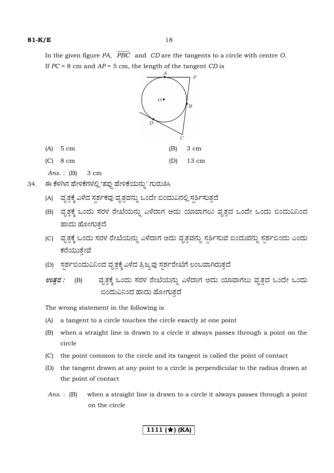In the given figure *PA*, *PBC* and *CD* are the tangents to a circle with centre *O*. If *PC* = 8 cm and *AP* = 5 cm, the length of the tangent *CD* is



*Ans.* : (B) 3 cm

- 34. ಈ ಕೆಳಗಿನ ಹೇಳಿಕೆಗಳಲ್ಲಿ 'ತಪ್ಪು ಹೇಳಿಕೆಯನ್ನು' ಗುರುತಿಸಿ
	- (A) ಪೃತ್ತಕ್ಕೆ ಎಳೆದ ಸ್ಪರ್ಶಕವು ವೃತ್ತವನ್ನು ಒಂದೇ ಬಿಂದುವಿನಲ್ಲಿ ಸ್ಪರ್ಶಿಸುತ್ತದೆ
	- (B) ಪೃತ್ತಕ್ಕೆ ಒಂದು ಸರಳ ರೇಖೆಯನ್ನು ಎಳೆದಾಗ ಅದು ಯಾವಾಗಲು ವೃತ್ತದ ಒಂದೇ ಒಂದು ಬಿಂದುವಿನಿಂದ ಹಾದು ಹೋಗುತದೆ
	- (C) ಪೃತ್ತಕ್ಕೆ ಒಂದು ಸರಳ ರೇಖೆಯನ್ನು ಎಳೆದಾಗ ಅದು ವೃತ್ತವನ್ನು ಸ್ಪರ್ಶಿಸುವ ಬಿಂದುವನ್ನು ಸ್ಪರ್ಶಬಿಂದು ಎಂದು ಕರೆಯುತ್ತೇವೆ
	- (D) ಸ್ಪರ್ಶಬಿಂದುವಿನಿಂದ ವೃತ್ತಕ್ಕೆ ಎಳೆದ ತ್ರಿಜ್ಯವು ಸ್ಪರ್ಶರೇಖೆಗೆ ಲಂಬವಾಗಿರುತ್ತದೆ
	- $\pmb{\mathit{erg}}$  *:* (B) ವೃತ್ತಕ್ಕೆ ಒಂದು ಸರಳ ರೇಖೆಯನ್ನು ಎಳೆದಾಗ ಅದು ಯಾವಾಗಲು ವೃತ್ತದ ಒಂದೇ ಒಂದು ಬಿಂದುವಿನಿಂದ ಹಾದು ಹೋಗುತದೆ

The wrong statement in the following is

- (A) a tangent to a circle touches the circle exactly at one point
- (B) when a straight line is drawn to a circle it always passes through a point on the circle
- (C) the point common to the circle and its tangent is called the point of contact
- (D) the tangent drawn at any point to a circle is perpendicular to the radius drawn at the point of contact
- *Ans.* : (B) when a straight line is drawn to a circle it always passes through a point on the circle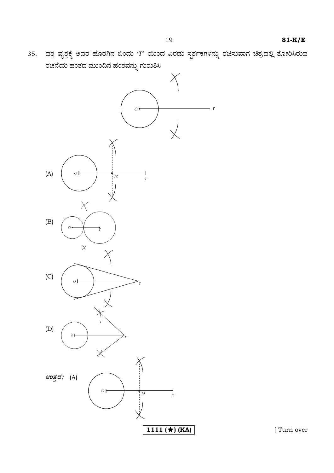35. ದತ್ತ ವೃತ್ತಕ್ಕೆ ಅದರ ಹೊರಗಿನ ಬಿಂದು 'T' ಯಿಂದ ಎರಡು ಸ್ಪರ್ಶಕಗಳನ್ನು ರಚಿಸುವಾಗ ಚಿತ್ರದಲ್ಲಿ ತೋರಿಸಿರುವ ರಚನೆಯ ಹಂತದ ಮುಂದಿನ ಹಂತವನ್ನು ಗುರುತಿಸಿ



[ Turn over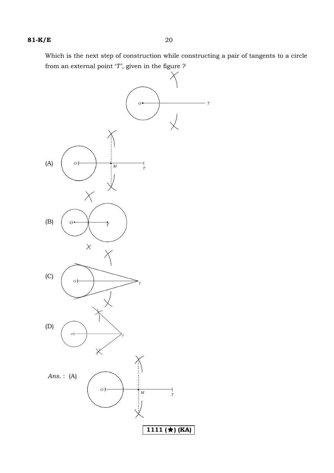Which is the next step of construction while constructing a pair of tangents to a circle from an external point  $\lq T$  , given in the figure  $\rq$ 

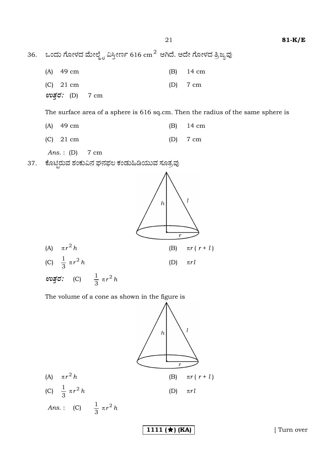36. ಒಂದು ಗೋಳದ ಮೇಲ್ಮೈ ವಿಸ್ತೀರ್ಣ 616 cm $^{\rm 2}$  ಆಗಿದೆ. ಅದೇ ಗೋಳದ ತ್ರಿಜ್ಯವು

| $(A)$ 49 cm                      |  | $(B)$ 14 cm |
|----------------------------------|--|-------------|
| $(C)$ 21 cm                      |  | $(D)$ 7 cm  |
| <i>ಉತ್ತ</i> : (D) $7 \text{ cm}$ |  |             |

The surface area of a sphere is 616 sq.cm. Then the radius of the same sphere is

| $(A)$ 49 cm | $(B)$ 14 cm |
|-------------|-------------|
| $(C)$ 21 cm | $(D)$ 7 cm  |

Ans.: (D)  $7 \text{ cm}$ 

ಕೊಟ್ಟಿರುವ ಶಂಕುವಿನ ಘನಫಲ ಕಂಡುಹಿಡಿಯುವ ಸೂತ್ರವು 37.



The volume of a cone as shown in the figure is



1111  $(\star)$  (KA)

[Turn over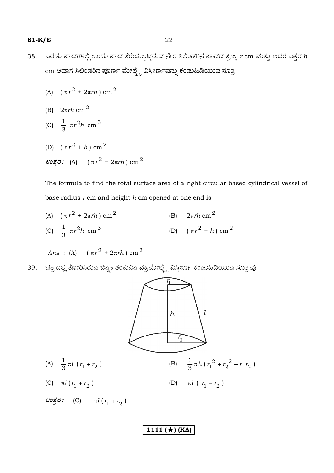- 38. ಎರಡು ಪಾದಗಳಲ್ಲಿ ಒಂದು ಪಾದ ತೆರೆಯಲ್ಪಟ್ಟಿರುವ ನೇರ ಸಿಲಿಂಡರಿನ ಪಾದದ ತ್ರಿಜ್ಯ *r* cm ಮತ್ತು ಅದರ ಎತ್ತರ *h* cm ಆದಾಗ ಸಿಲಿಂಡರಿನ ಪೂರ್ಣ ಮೇಲ್ಮೈ ವಿಸ್ತೀರ್ಣವನ್ನು ಕಂಡುಹಿಡಿಯುವ ಸೂತ್ರ
- (A)  $(\pi r^2 + 2\pi rh)$  cm<sup>2</sup>
	- (B) 2π*rh* cm <sup>2</sup>

(C) 
$$
\frac{1}{3} \pi r^2 h \text{ cm}^3
$$

(D)  $(\pi r^2 + h)$  cm<sup>2</sup>  $\omega$ *ğơ*: (A) (πr<sup>2</sup> + 2πrh) cm<sup>2</sup>

> The formula to find the total surface area of a right circular based cylindrical vessel of base radius *r* cm and height *h* cm opened at one end is

(A)  $(\pi r^2 + 2\pi rh)$  cm<sup>2</sup> (B) 2π*rh* cm <sup>2</sup> (C)  $\frac{1}{2} \pi r^2 h$ 3  $rac{1}{2}$   $\pi r^2 h$  cm<sup>3</sup> (D)  $(\pi r^2 + h)$  cm<sup>2</sup>

*Ans.*: (A)  $(\pi r^2 + 2\pi rh)$  cm<sup>2</sup>

39. ಚಿತ್ರದಲ್ಲಿ ತೋರಿಸಿರುವ ಬಿನ್ನಕ ಶಂಕುವಿನ ವಕ್ರಮೇಲ್ಮೈ ವಿಸ್ತೀರ್ಣ ಕಂಡುಹಿಡಿಯುವ ಸೂತ್ರವು